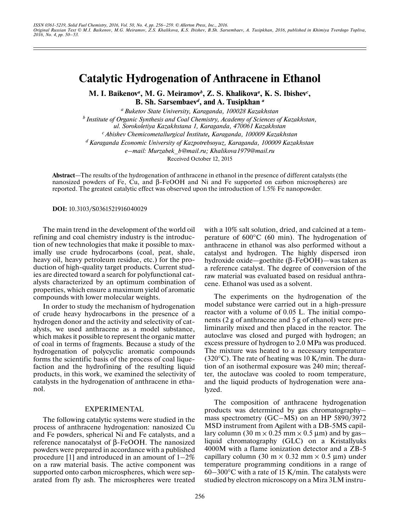# **Catalytic Hydrogenation of Anthracene in Ethanol**

**M. I. Baikenov***<sup>a</sup>***, M. G. Meiramov***<sup>b</sup>* **, Z. S. Khalikova***<sup>a</sup>* **, K. S. Ibishev***<sup>c</sup>* **, B. Sh. Sarsembaev***<sup>d</sup>***, and A. Tusipkhan** *<sup>a</sup>*

*a Buketov State University, Karaganda, 100028 Kazakhstan b Institute of Organic Synthesis and Coal Chemistry, Academy of Sciences of Kazakhstan, ul. Sorokoletiya Kazakhstana 1, Karaganda, 470061 Kazakhstan c Abishev Chemicometallurgical Institute, Karaganda, 100009 Kazakhstan d Karaganda Economic University of Kazpotrebsoyuz, Karaganda, 100009 Kazakhstan e–mail: Murzabek\_b@mail.ru; Khalikova1979@mail.ru* Received October 12, 2015

**Abstract**—The results of the hydrogenation of anthracene in ethanol in the presence of different catalysts (the nanosized powders of Fe, Cu, and β-FeOOH and Ni and Fe supported on carbon microspheres) are reported. The greatest catalytic effect was observed upon the introduction of 1.5% Fe nanopowder.

**DOI:** 10.3103/S0361521916040029

The main trend in the development of the world oil refining and coal chemistry industry is the introduction of new technologies that make it possible to maximally use crude hydrocarbons (coal, peat, shale, heavy oil, heavy petroleum residue, etc.) for the production of high-quality target products. Current studies are directed toward a search for polyfunctional catalysts characterized by an optimum combination of properties, which ensure a maximum yield of aromatic compounds with lower molecular weights.

In order to study the mechanism of hydrogenation of crude heavy hydrocarbons in the presence of a hydrogen donor and the activity and selectivity of catalysts, we used anthracene as a model substance, which makes it possible to represent the organic matter of coal in terms of fragments. Because a study of the hydrogenation of polycyclic aromatic compounds forms the scientific basis of the process of coal liquefaction and the hydrofining of the resulting liquid products, in this work, we examined the selectivity of catalysts in the hydrogenation of anthracene in ethanol.

### EXPERIMENTAL

The following catalytic systems were studied in the process of anthracene hydrogenation: nanosized Cu and Fe powders, spherical Ni and Fe catalysts, and a reference nanocatalyst of β-FeOOH. The nanosized powders were prepared in accordance with a published procedure [1] and introduced in an amount of  $1-2\%$ on a raw material basis. The active component was supported onto carbon microspheres, which were separated from fly ash. The microspheres were treated with a 10% salt solution, dried, and calcined at a temperature of 600°C (60 min). The hydrogenation of anthracene in ethanol was also performed without a catalyst and hydrogen. The highly dispersed iron hydroxide oxide—goethite (β-FeOOH)—was taken as a reference catalyst. The degree of conversion of the raw material was evaluated based on residual anthracene. Ethanol was used as a solvent.

The experiments on the hydrogenation of the model substance were carried out in a high-pressure reactor with a volume of 0.05 L. The initial components (2 g of anthracene and 5 g of ethanol) were preliminarily mixed and then placed in the reactor. The autoclave was closed and purged with hydrogen; an excess pressure of hydrogen to 2.0 MPa was produced. The mixture was heated to a necessary temperature  $(320^{\circ}C)$ . The rate of heating was 10 K/min. The duration of an isothermal exposure was 240 min; thereafter, the autoclave was cooled to room temperature, and the liquid products of hydrogenation were analyzed.

The composition of anthracene hydrogenation products was determined by gas chromatography– mass spectrometry (GC–MS) on an HP 5890/3972 MSD instrument from Agilent with a DB-5MS capillary column (30 m  $\times$  0.25 mm  $\times$  0.5 µm) and by gas– liquid chromatography (GLC) on a Kristallyuks 4000M with a flame ionization detector and a ZB-5 capillary column (30 m  $\times$  0.32 mm  $\times$  0.5 µm) under temperature programming conditions in a range of  $60-300$ °C with a rate of 15 K/min. The catalysts were studied by electron microscopy on a Mira 3LM instru-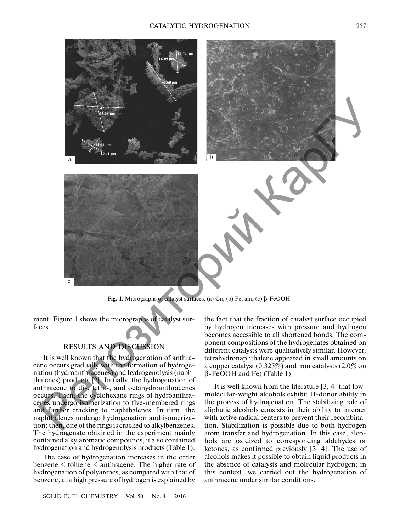

**Fig. 1.** Micrographs of catalyst surfaces: (a) Cu, (b) Fe, and (c) β-FeOOH.

ment. Figure 1 shows the micrographs of catalyst surfaces.

## RESULTS AND DISCUSSION

It is well known that the hydrogenation of anthracene occurs gradually with the formation of hydrogenation (hydroanthracenes) and hydrogenolysis (naphthalenes) products [2]. Initially, the hydrogenation of anthracene to di-, tetra-, and octahydroanthracenes occurs. Then, the cyclohexane rings of hydroanthracenes undergo isomerization to five-membered rings and further cracking to naphthalenes. In turn, the naphthalenes undergo hydrogenation and isomerization; then, one of the rings is cracked to alkylbenzenes. The hydrogenate obtained in the experiment mainly contained alkylaromatic compounds, it also contained hydrogenation and hydrogenolysis products (Table 1).

The ease of hydrogenation increases in the order benzene < toluene < anthracene. The higher rate of hydrogenation of polyarenes, as compared with that of benzene, at a high pressure of hydrogen is explained by

SOLID FUEL CHEMISTRY Vol. 50 No. 4 2016

the fact that the fraction of catalyst surface occupied by hydrogen increases with pressure and hydrogen becomes accessible to all shortened bonds. The component compositions of the hydrogenates obtained on different catalysts were qualitatively similar. However, tetrahydronaphthalene appeared in small amounts on a copper catalyst (0.325%) and iron catalysts (2.0% on β-FeOOH and Fe) (Table 1).

It is well known from the literature [3, 4] that lowmolecular-weight alcohols exhibit H-donor ability in the process of hydrogenation. The stabilizing role of aliphatic alcohols consists in their ability to interact with active radical centers to prevent their recombination. Stabilization is possible due to both hydrogen atom transfer and hydrogenation. In this case, alcohols are oxidized to corresponding aldehydes or ketones, as confirmed previously [3, 4]. The use of alcohols makes it possible to obtain liquid products in the absence of catalysts and molecular hydrogen; in this context, we carried out the hydrogenation of anthracene under similar conditions.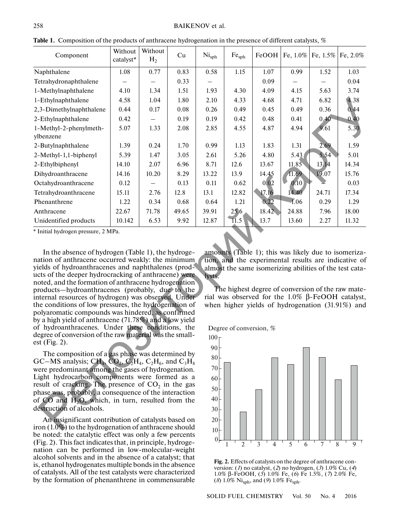| Component                                                                                                                                                                                                                                                                                                                                                                                                                                                                                                                                                                                                                                                                                                                                                                                                                                                                                                                                                                                                                                                                                                                                | Without<br>catalyst* | Without<br>H <sub>2</sub> | Cu    | Ni <sub>sph</sub> | $\mathrm{Fe}_{\mathrm{sph}}$ | FeOOH | Fe, 1.0% | Fe, $1.5\%$ | Fe, 2.0% |
|------------------------------------------------------------------------------------------------------------------------------------------------------------------------------------------------------------------------------------------------------------------------------------------------------------------------------------------------------------------------------------------------------------------------------------------------------------------------------------------------------------------------------------------------------------------------------------------------------------------------------------------------------------------------------------------------------------------------------------------------------------------------------------------------------------------------------------------------------------------------------------------------------------------------------------------------------------------------------------------------------------------------------------------------------------------------------------------------------------------------------------------|----------------------|---------------------------|-------|-------------------|------------------------------|-------|----------|-------------|----------|
| Naphthalene                                                                                                                                                                                                                                                                                                                                                                                                                                                                                                                                                                                                                                                                                                                                                                                                                                                                                                                                                                                                                                                                                                                              | 1.08                 | 0.77                      | 0.83  | 0.58              | 1.15                         | 1.07  | 0.99     | 1.52        | 1.03     |
| Tetrahydronaphthalene                                                                                                                                                                                                                                                                                                                                                                                                                                                                                                                                                                                                                                                                                                                                                                                                                                                                                                                                                                                                                                                                                                                    |                      |                           | 0.33  |                   |                              | 0.09  |          |             | 0.04     |
| 1-Methylnaphthalene                                                                                                                                                                                                                                                                                                                                                                                                                                                                                                                                                                                                                                                                                                                                                                                                                                                                                                                                                                                                                                                                                                                      | 4.10                 | 1.34                      | 1.51  | 1.93              | 4.30                         | 4.09  | 4.15     | 5.63        | 3.74     |
| 1-Ethylnaphthalene                                                                                                                                                                                                                                                                                                                                                                                                                                                                                                                                                                                                                                                                                                                                                                                                                                                                                                                                                                                                                                                                                                                       | 4.58                 | 1.04                      | 1.80  | 2.10              | 4.33                         | 4.68  | 4.71     | 6.82        | 4.38     |
| 2,3-Dimethylnaphthalene                                                                                                                                                                                                                                                                                                                                                                                                                                                                                                                                                                                                                                                                                                                                                                                                                                                                                                                                                                                                                                                                                                                  | 0.44                 | 0.17                      | 0.08  | 0.26              | 0.49                         | 0.45  | 0.49     | 0.36        | 0.44     |
| 2-Ethylnaphthalene                                                                                                                                                                                                                                                                                                                                                                                                                                                                                                                                                                                                                                                                                                                                                                                                                                                                                                                                                                                                                                                                                                                       | 0.42                 |                           | 0.19  | 0.19              | 0.42                         | 0.48  | 0.41     | $0.40 -$    | 0.40     |
| 1-Methyl-2-phenylmeth-<br>ylbenzene                                                                                                                                                                                                                                                                                                                                                                                                                                                                                                                                                                                                                                                                                                                                                                                                                                                                                                                                                                                                                                                                                                      | 5.07                 | 1.33                      | 2.08  | 2.85              | 4.55                         | 4.87  | 4.94     | 9.61        | 5.30     |
| 2-Butylnaphthalene                                                                                                                                                                                                                                                                                                                                                                                                                                                                                                                                                                                                                                                                                                                                                                                                                                                                                                                                                                                                                                                                                                                       | 1.39                 | 0.24                      | 1.70  | 0.99              | 1.13                         | 1.83  | 1.31     | 2.69        | 1.59     |
| 2-Methyl-1,1-biphenyl                                                                                                                                                                                                                                                                                                                                                                                                                                                                                                                                                                                                                                                                                                                                                                                                                                                                                                                                                                                                                                                                                                                    | 5.39                 | 1.47                      | 3.05  | 2.61              | 5.26                         | 4.80  | 5.43     | 5.54        | 5.01     |
| 2-Ethylbiphenyl                                                                                                                                                                                                                                                                                                                                                                                                                                                                                                                                                                                                                                                                                                                                                                                                                                                                                                                                                                                                                                                                                                                          | 14.10                | 2.07                      | 6.96  | 8.71              | 12.6                         | 13.67 | 11.85    | 13.14       | 14.34    |
| Dihydroanthracene                                                                                                                                                                                                                                                                                                                                                                                                                                                                                                                                                                                                                                                                                                                                                                                                                                                                                                                                                                                                                                                                                                                        | 14.16                | 10.20                     | 8.29  | 13.22             | 13.9                         | 14.45 | 11.69    | 19.07       | 15.76    |
| Octahydroanthracene                                                                                                                                                                                                                                                                                                                                                                                                                                                                                                                                                                                                                                                                                                                                                                                                                                                                                                                                                                                                                                                                                                                      | 0.12                 |                           | 0.13  | 0.11              | 0.62                         | 0,02  | 0.10     |             | 0.03     |
| Tetrahydroanthracene                                                                                                                                                                                                                                                                                                                                                                                                                                                                                                                                                                                                                                                                                                                                                                                                                                                                                                                                                                                                                                                                                                                     | 15.11                | 2.76                      | 12.8  | 13.1              | 12.82                        | 17.16 | 14.40    | 24.71       | 17.34    |
| Phenanthrene                                                                                                                                                                                                                                                                                                                                                                                                                                                                                                                                                                                                                                                                                                                                                                                                                                                                                                                                                                                                                                                                                                                             | 1.22                 | 0.34                      | 0.68  | 0.64              | 1.21                         | 0,22  | $-1.06$  | 0.29        | 1.29     |
| Anthracene                                                                                                                                                                                                                                                                                                                                                                                                                                                                                                                                                                                                                                                                                                                                                                                                                                                                                                                                                                                                                                                                                                                               | 22.67                | 71.78                     | 49.65 | 39.91             | 25.6                         | 18.42 | 24.88    | 7.96        | 18.00    |
| Unidentified products                                                                                                                                                                                                                                                                                                                                                                                                                                                                                                                                                                                                                                                                                                                                                                                                                                                                                                                                                                                                                                                                                                                    | 10.142               | 6.53                      | 9.92  | 12.87             | 11.5                         | 13.7  | 13.60    | 2.27        | 11.32    |
| * Initial hydrogen pressure, 2 MPa.<br>In the absence of hydrogen (Table 1), the hydroge-<br>amounts (Table 1); this was likely due to isomeriza-<br>nation of anthracene occurred weakly: the minimum<br>tion, and the experimental results are indicative of<br>yields of hydroanthracenes and naphthalenes (prod-<br>almost the same isomerizing abilities of the test cata-<br>ucts of the deeper hydrocracking of anthracene) were<br>lysts.<br>noted, and the formation of anthracene hydrogenation<br>The highest degree of conversion of the raw mate-<br>products—hydroanthracenes (probably, due to the<br>rial was observed for the $1.0\%$ $\beta$ -FeOOH catalyst,<br>internal resources of hydrogen) was observed. Under<br>the conditions of low pressures, the hydrogenation of<br>when higher yields of hydrogenation (31.91%) and<br>polyaromatic compounds was hindered, as confirmed<br>by a high yield of anthracene (71.78%) and a low yield<br>of hydroanthracenes. Under these conditions, the<br>Degree of conversion, %<br>degree of conversion of the raw material was the small-<br>100r<br>est (Fig. $2$ ). |                      |                           |       |                   |                              |       |          |             |          |
| 90 <sub>1</sub><br>The composition of a gas phase was determined by<br>$80{\frac{1}{2}}$<br>GC–MS analysis; CH <sub>4</sub> , CO <sub>2</sub> , C <sub>2</sub> H <sub>4</sub> , C <sub>2</sub> H <sub>6</sub> , and C <sub>3</sub> H <sub>8</sub><br>were predominant among the gases of hydrogenation.<br>70<br>Light hydrocarbon components were formed as a<br>60<br>result of cracking. The presence of $CO2$ in the gas<br>50<br>phase was, probably, a consequence of the interaction<br>40<br>of CO and H <sub>2</sub> O, which, in turn, resulted from the<br>destruction of alcohols<br>30                                                                                                                                                                                                                                                                                                                                                                                                                                                                                                                                      |                      |                           |       |                   |                              |       |          |             |          |

Table 1. Composition of the products of anthracene hydrogenation in the presence of different catalysts, %

The composition of a gas phase was determined by GC–MS analysis; CH<sub>4</sub>, CO<sub>2</sub>, C<sub>2</sub>H<sub>4</sub>, C<sub>2</sub>H<sub>6</sub>, and C<sub>3</sub>H<sub>8</sub> were predominant among the gases of hydrogenation. Light hydrocarbon components were formed as a result of cracking. The presence of  $CO<sub>2</sub>$  in the gas phase was, probably, a consequence of the interaction<br>of  $CO$  and  $H_2O$ , which, in turn, resulted from the<br>destruction of alcohols.<br>An insignificant contribution of catalysts based on<br>iron (1.0%) to the hydrogenation of a of  $CO$  and  $H<sub>2</sub>O$ , which, in turn, resulted from the destruction of alcohols.

An insignificant contribution of catalysts based on iron (1.0%) to the hydrogenation of anthracene should be noted: the catalytic effect was only a few percents (Fig. 2). This fact indicates that, in principle, hydrogenation can be performed in low-molecular-weight alcohol solvents and in the absence of a catalyst; that is, ethanol hydrogenates multiple bonds in the absence of catalysts. All of the test catalysts were characterized by the formation of phenanthrene in commensurable



**Fig. 2.** Effects of catalysts on the degree of anthracene conversion: (*1*) no catalyst, (*2*) no hydrogen, (*3*) 1.0% Cu, (*4*) 1.0% β-FeOOH, (*5*) 1.0% Fe, (*6*) Fe 1.5%, (*7*) 2.0% Fe, (*8*)  $1.0\%$  Ni<sub>sph</sub>, and (*9*)  $1.0\%$  Fe<sub>sph</sub>.

SOLID FUEL CHEMISTRY Vol. 50 No. 4 2016